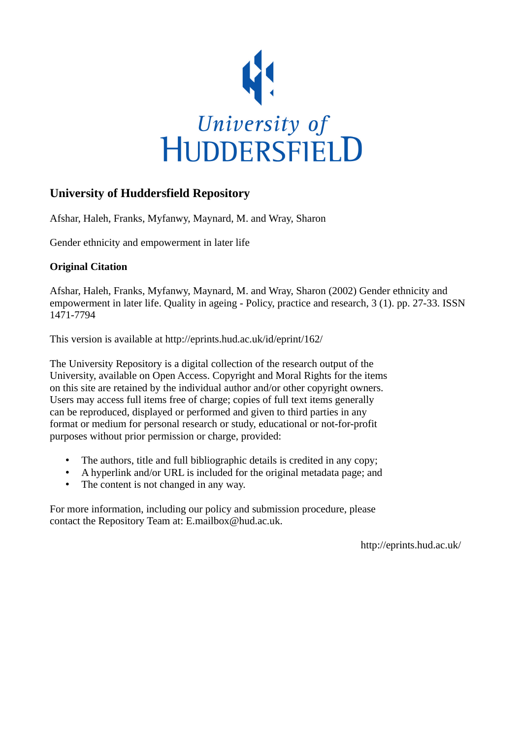

### **University of Huddersfield Repository**

Afshar, Haleh, Franks, Myfanwy, Maynard, M. and Wray, Sharon

Gender ethnicity and empowerment in later life

### **Original Citation**

Afshar, Haleh, Franks, Myfanwy, Maynard, M. and Wray, Sharon (2002) Gender ethnicity and empowerment in later life. Quality in ageing - Policy, practice and research, 3 (1). pp. 27-33. ISSN 1471-7794

This version is available at http://eprints.hud.ac.uk/id/eprint/162/

The University Repository is a digital collection of the research output of the University, available on Open Access. Copyright and Moral Rights for the items on this site are retained by the individual author and/or other copyright owners. Users may access full items free of charge; copies of full text items generally can be reproduced, displayed or performed and given to third parties in any format or medium for personal research or study, educational or not-for-profit purposes without prior permission or charge, provided:

- The authors, title and full bibliographic details is credited in any copy;
- A hyperlink and/or URL is included for the original metadata page; and
- The content is not changed in any way.

For more information, including our policy and submission procedure, please contact the Repository Team at: E.mailbox@hud.ac.uk.

http://eprints.hud.ac.uk/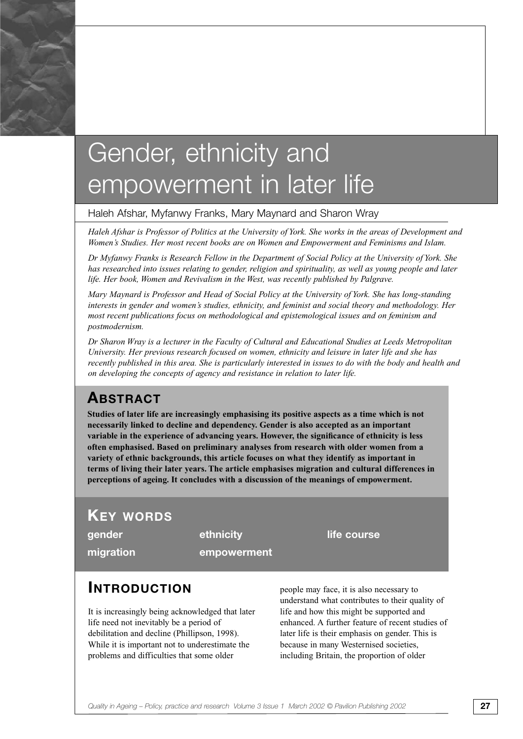# Gender, ethnicity and empowerment in later life

#### Haleh Afshar, Myfanwy Franks, Mary Maynard and Sharon Wray

*Haleh Afshar is Professor of Politics at the University of York. She works in the areas of Development and Women's Studies. Her most recent books are on Women and Empowerment and Feminisms and Islam.* 

*Dr Myfanwy Franks is Research Fellow in the Department of Social Policy at the University of York. She has researched into issues relating to gender, religion and spirituality, as well as young people and later* life. Her book, Women and Revivalism in the West, was recently published by Palgrave.

*Mary Maynard is Professor and Head of Social Policy at the University of York. She has long-standing interests in gender and women's studies, ethnicity, and feminist and social theory and methodology. Her most recent publications focus on methodological and epistemological issues and on feminism and postmodernism.* 

*Dr Sharon Wray is a lecturer in the Faculty of Cultural and Educational Studies at Leeds Metropolitan University. Her previous research focused on women, ethnicity and leisure in later life and she has recently published in this area. She is particularly interested in issues to do with the body and health and on developing the concepts of agency and resistance in relation to later life.*

### **ABSTRACT**

**Studies of later life are increasingly emphasising its positive aspects as a time which is not necessarily linked to decline and dependency. Gender is also accepted as an important variable in the experience of advancing years. However, the significance of ethnicity is less often emphasised. Based on preliminary analyses from research with older women from a variety of ethnic backgrounds, this article focuses on what they identify as important in terms of living their later years. The article emphasises migration and cultural differences in perceptions of ageing. It concludes with a discussion of the meanings of empowerment.**

### **KEY WORDS**

**migration empowerment**

**gender** ethnicity **life course** 

### **INTRODUCTION**

It is increasingly being acknowledged that later life need not inevitably be a period of debilitation and decline (Phillipson, 1998). While it is important not to underestimate the problems and difficulties that some older

people may face, it is also necessary to understand what contributes to their quality of life and how this might be supported and enhanced. A further feature of recent studies of later life is their emphasis on gender. This is because in many Westernised societies, including Britain, the proportion of older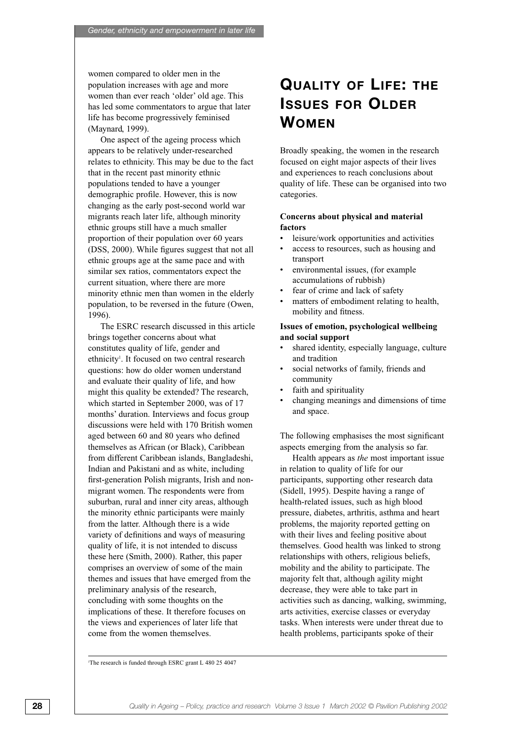women compared to older men in the population increases with age and more women than ever reach 'older' old age. This has led some commentators to argue that later life has become progressively feminised (Maynard, 1999).

One aspect of the ageing process which appears to be relatively under-researched relates to ethnicity. This may be due to the fact that in the recent past minority ethnic populations tended to have a younger demographic profile. However, this is now changing as the early post-second world war migrants reach later life, although minority ethnic groups still have a much smaller proportion of their population over 60 years (DSS, 2000). While figures suggest that not all ethnic groups age at the same pace and with similar sex ratios, commentators expect the current situation, where there are more minority ethnic men than women in the elderly population, to be reversed in the future (Owen, 1996).

The ESRC research discussed in this article brings together concerns about what constitutes quality of life, gender and ethnicity<sup>1</sup>. It focused on two central research questions: how do older women understand and evaluate their quality of life, and how might this quality be extended? The research, which started in September 2000, was of 17 months' duration. Interviews and focus group discussions were held with 170 British women aged between 60 and 80 years who defined themselves as African (or Black), Caribbean from different Caribbean islands, Bangladeshi, Indian and Pakistani and as white, including first-generation Polish migrants, Irish and nonmigrant women. The respondents were from suburban, rural and inner city areas, although the minority ethnic participants were mainly from the latter. Although there is a wide variety of definitions and ways of measuring quality of life, it is not intended to discuss these here (Smith, 2000). Rather, this paper comprises an overview of some of the main themes and issues that have emerged from the preliminary analysis of the research, concluding with some thoughts on the implications of these. It therefore focuses on the views and experiences of later life that come from the women themselves.

# **QUALITY OF LIFE: THE ISSUES FOR OLDER WOMEN**

Broadly speaking, the women in the research focused on eight major aspects of their lives and experiences to reach conclusions about quality of life. These can be organised into two categories.

#### **Concerns about physical and material factors**

- leisure/work opportunities and activities
- access to resources, such as housing and transport
- environmental issues, (for example accumulations of rubbish)
- fear of crime and lack of safety
- matters of embodiment relating to health, mobility and fitness.

#### **Issues of emotion, psychological wellbeing and social support**

- shared identity, especially language, culture and tradition
- social networks of family, friends and community
- faith and spirituality
- changing meanings and dimensions of time and space.

The following emphasises the most significant aspects emerging from the analysis so far.

Health appears as *the* most important issue in relation to quality of life for our participants, supporting other research data (Sidell, 1995). Despite having a range of health-related issues, such as high blood pressure, diabetes, arthritis, asthma and heart problems, the majority reported getting on with their lives and feeling positive about themselves. Good health was linked to strong relationships with others, religious beliefs, mobility and the ability to participate. The majority felt that, although agility might decrease, they were able to take part in activities such as dancing, walking, swimming, arts activities, exercise classes or everyday tasks. When interests were under threat due to health problems, participants spoke of their

1 The research is funded through ESRC grant L 480 25 4047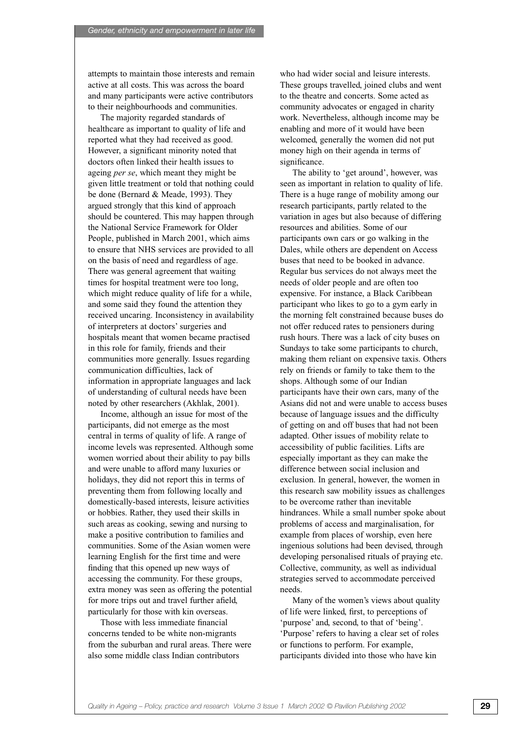attempts to maintain those interests and remain active at all costs. This was across the board and many participants were active contributors to their neighbourhoods and communities.

The majority regarded standards of healthcare as important to quality of life and reported what they had received as good. However, a significant minority noted that doctors often linked their health issues to ageing *per se*, which meant they might be given little treatment or told that nothing could be done (Bernard & Meade, 1993). They argued strongly that this kind of approach should be countered. This may happen through the National Service Framework for Older People, published in March 2001, which aims to ensure that NHS services are provided to all on the basis of need and regardless of age. There was general agreement that waiting times for hospital treatment were too long, which might reduce quality of life for a while, and some said they found the attention they received uncaring. Inconsistency in availability of interpreters at doctors' surgeries and hospitals meant that women became practised in this role for family, friends and their communities more generally. Issues regarding communication difficulties, lack of information in appropriate languages and lack of understanding of cultural needs have been noted by other researchers (Akhlak, 2001).

Income, although an issue for most of the participants, did not emerge as the most central in terms of quality of life. A range of income levels was represented. Although some women worried about their ability to pay bills and were unable to afford many luxuries or holidays, they did not report this in terms of preventing them from following locally and domestically-based interests, leisure activities or hobbies. Rather, they used their skills in such areas as cooking, sewing and nursing to make a positive contribution to families and communities. Some of the Asian women were learning English for the first time and were finding that this opened up new ways of accessing the community. For these groups, extra money was seen as offering the potential for more trips out and travel further afield, particularly for those with kin overseas.

Those with less immediate financial concerns tended to be white non-migrants from the suburban and rural areas. There were also some middle class Indian contributors

who had wider social and leisure interests. These groups travelled, joined clubs and went to the theatre and concerts. Some acted as community advocates or engaged in charity work. Nevertheless, although income may be enabling and more of it would have been welcomed, generally the women did not put money high on their agenda in terms of significance.

The ability to 'get around', however, was seen as important in relation to quality of life. There is a huge range of mobility among our research participants, partly related to the variation in ages but also because of differing resources and abilities. Some of our participants own cars or go walking in the Dales, while others are dependent on Access buses that need to be booked in advance. Regular bus services do not always meet the needs of older people and are often too expensive. For instance, a Black Caribbean participant who likes to go to a gym early in the morning felt constrained because buses do not offer reduced rates to pensioners during rush hours. There was a lack of city buses on Sundays to take some participants to church, making them reliant on expensive taxis. Others rely on friends or family to take them to the shops. Although some of our Indian participants have their own cars, many of the Asians did not and were unable to access buses because of language issues and the difficulty of getting on and off buses that had not been adapted. Other issues of mobility relate to accessibility of public facilities. Lifts are especially important as they can make the difference between social inclusion and exclusion. In general, however, the women in this research saw mobility issues as challenges to be overcome rather than inevitable hindrances. While a small number spoke about problems of access and marginalisation, for example from places of worship, even here ingenious solutions had been devised, through developing personalised rituals of praying etc. Collective, community, as well as individual strategies served to accommodate perceived needs.

Many of the women's views about quality of life were linked, first, to perceptions of 'purpose' and, second, to that of 'being'. 'Purpose' refers to having a clear set of roles or functions to perform. For example, participants divided into those who have kin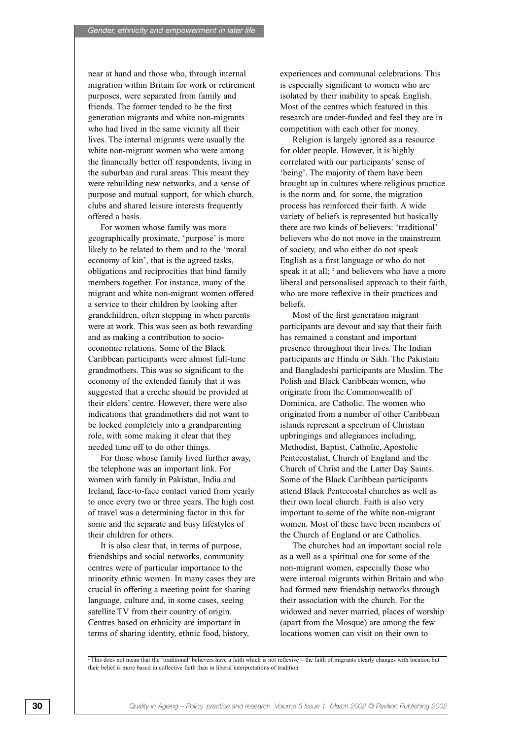near at hand and those who, through internal migration within Britain for work or retirement purposes, were separated from family and friends. The former tended to be the first generation migrants and white non-migrants who had lived in the same vicinity all their lives. The internal migrants were usually the white non-migrant women who were among the financially better off respondents, living in the suburban and rural areas. This meant they were rebuilding new networks, and a sense of purpose and mutual support, for which church, clubs and shared leisure interests frequently offered a basis.

For women whose family was more geographically proximate, 'purpose' is more likely to be related to them and to the 'moral economy of kin', that is the agreed tasks, obligations and reciprocities that bind family members together. For instance, many of the migrant and white non-migrant women offered a service to their children by looking after grandchildren, often stepping in when parents were at work. This was seen as both rewarding and as making a contribution to socioeconomic relations. Some of the Black Caribbean participants were almost full-time grandmothers. This was so significant to the economy of the extended family that it was suggested that a creche should be provided at their elders' centre. However, there were also indications that grandmothers did not want to be locked completely into a grandparenting role, with some making it clear that they needed time off to do other things.

For those whose family lived further away, the telephone was an important link. For women with family in Pakistan, India and Ireland, face-to-face contact varied from yearly to once every two or three years. The high cost of travel was a determining factor in this for some and the separate and busy lifestyles of their children for others.

It is also clear that, in terms of purpose, friendships and social networks, community centres were of particular importance to the minority ethnic women. In many cases they are crucial in offering a meeting point for sharing language, culture and, in some cases, seeing satellite TV from their country of origin. Centres based on ethnicity are important in terms of sharing identity, ethnic food, history,

experiences and communal celebrations. This is especially significant to women who are isolated by their inability to speak English. Most of the centres which featured in this research are under-funded and feel they are in competition with each other for money.

Religion is largely ignored as a resource for older people. However, it is highly correlated with our participants' sense of 'being'. The majority of them have been brought up in cultures where religious practice is the norm and, for some, the migration process has reinforced their faith. A wide variety of beliefs is represented but basically there are two kinds of believers: 'traditional' believers who do not move in the mainstream of society, and who either do not speak English as a first language or who do not speak it at all; <sup>2</sup> and believers who have a more liberal and personalised approach to their faith, who are more reflexive in their practices and beliefs.

Most of the first generation migrant participants are devout and say that their faith has remained a constant and important presence throughout their lives. The Indian participants are Hindu or Sikh. The Pakistani and Bangladeshi participants are Muslim. The Polish and Black Caribbean women, who originate from the Commonwealth of Dominica, are Catholic. The women who originated from a number of other Caribbean islands represent a spectrum of Christian upbringings and allegiances including, Methodist, Baptist, Catholic, Apostolic Pentecostalist, Church of England and the Church of Christ and the Latter Day Saints. Some of the Black Caribbean participants attend Black Pentecostal churches as well as their own local church. Faith is also very important to some of the white non-migrant women. Most of these have been members of the Church of England or are Catholics.

The churches had an important social role as a well as a spiritual one for some of the non-migrant women, especially those who were internal migrants within Britain and who had formed new friendship networks through their association with the church. For the widowed and never married, places of worship (apart from the Mosque) are among the few locations women can visit on their own to

<sup>2</sup>This does not mean that the 'traditional' believers have a faith which is not reflexive – the faith of migrants clearly changes with location but their belief is more based in collective faith than in liberal interpretations of tradition.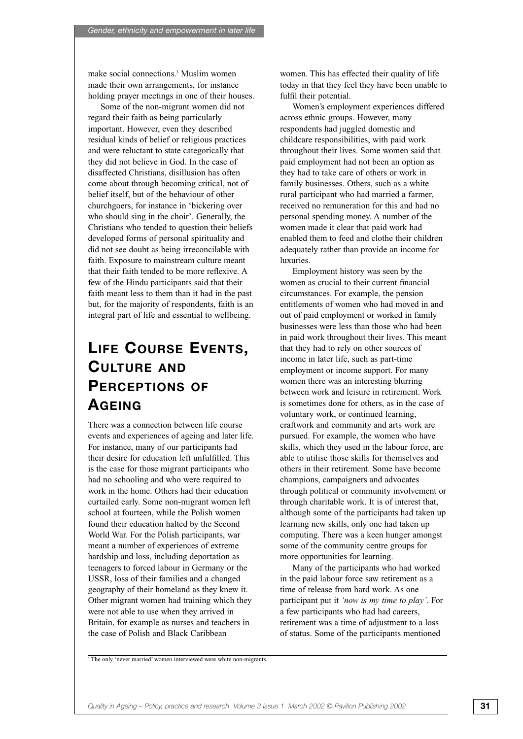make social connections.3 Muslim women made their own arrangements, for instance holding prayer meetings in one of their houses.

Some of the non-migrant women did not regard their faith as being particularly important. However, even they described residual kinds of belief or religious practices and were reluctant to state categorically that they did not believe in God. In the case of disaffected Christians, disillusion has often come about through becoming critical, not of belief itself, but of the behaviour of other churchgoers, for instance in 'bickering over who should sing in the choir'. Generally, the Christians who tended to question their beliefs developed forms of personal spirituality and did not see doubt as being irreconcilable with faith. Exposure to mainstream culture meant that their faith tended to be more reflexive. A few of the Hindu participants said that their faith meant less to them than it had in the past but, for the majority of respondents, faith is an integral part of life and essential to wellbeing.

# **LIFE COURSE EVENTS, CULTURE AND PERCEPTIONS OF AGEING**

There was a connection between life course events and experiences of ageing and later life. For instance, many of our participants had their desire for education left unfulfilled. This is the case for those migrant participants who had no schooling and who were required to work in the home. Others had their education curtailed early. Some non-migrant women left school at fourteen, while the Polish women found their education halted by the Second World War. For the Polish participants, war meant a number of experiences of extreme hardship and loss, including deportation as teenagers to forced labour in Germany or the USSR, loss of their families and a changed geography of their homeland as they knew it. Other migrant women had training which they were not able to use when they arrived in Britain, for example as nurses and teachers in the case of Polish and Black Caribbean

women. This has effected their quality of life today in that they feel they have been unable to fulfil their potential.

Women's employment experiences differed across ethnic groups. However, many respondents had juggled domestic and childcare responsibilities, with paid work throughout their lives. Some women said that paid employment had not been an option as they had to take care of others or work in family businesses. Others, such as a white rural participant who had married a farmer, received no remuneration for this and had no personal spending money. A number of the women made it clear that paid work had enabled them to feed and clothe their children adequately rather than provide an income for luxuries.

Employment history was seen by the women as crucial to their current financial circumstances. For example, the pension entitlements of women who had moved in and out of paid employment or worked in family businesses were less than those who had been in paid work throughout their lives. This meant that they had to rely on other sources of income in later life, such as part-time employment or income support. For many women there was an interesting blurring between work and leisure in retirement. Work is sometimes done for others, as in the case of voluntary work, or continued learning, craftwork and community and arts work are pursued. For example, the women who have skills, which they used in the labour force, are able to utilise those skills for themselves and others in their retirement. Some have become champions, campaigners and advocates through political or community involvement or through charitable work. It is of interest that, although some of the participants had taken up learning new skills, only one had taken up computing. There was a keen hunger amongst some of the community centre groups for more opportunities for learning.

Many of the participants who had worked in the paid labour force saw retirement as a time of release from hard work. As one participant put it *'now is my time to play'*. For a few participants who had had careers, retirement was a time of adjustment to a loss of status. Some of the participants mentioned

<sup>3</sup>The only 'never married' women interviewed were white non-migrants.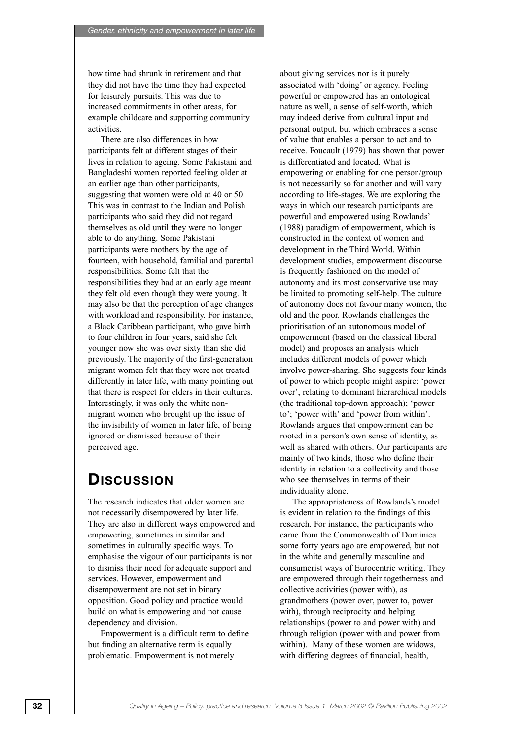how time had shrunk in retirement and that they did not have the time they had expected for leisurely pursuits. This was due to increased commitments in other areas, for example childcare and supporting community activities.

There are also differences in how participants felt at different stages of their lives in relation to ageing. Some Pakistani and Bangladeshi women reported feeling older at an earlier age than other participants, suggesting that women were old at 40 or 50. This was in contrast to the Indian and Polish participants who said they did not regard themselves as old until they were no longer able to do anything. Some Pakistani participants were mothers by the age of fourteen, with household, familial and parental responsibilities. Some felt that the responsibilities they had at an early age meant they felt old even though they were young. It may also be that the perception of age changes with workload and responsibility. For instance, a Black Caribbean participant, who gave birth to four children in four years, said she felt younger now she was over sixty than she did previously. The majority of the first-generation migrant women felt that they were not treated differently in later life, with many pointing out that there is respect for elders in their cultures. Interestingly, it was only the white nonmigrant women who brought up the issue of the invisibility of women in later life, of being ignored or dismissed because of their perceived age.

### **DISCUSSION**

The research indicates that older women are not necessarily disempowered by later life. They are also in different ways empowered and empowering, sometimes in similar and sometimes in culturally specific ways. To emphasise the vigour of our participants is not to dismiss their need for adequate support and services. However, empowerment and disempowerment are not set in binary opposition. Good policy and practice would build on what is empowering and not cause dependency and division.

Empowerment is a difficult term to define but finding an alternative term is equally problematic. Empowerment is not merely

about giving services nor is it purely associated with 'doing' or agency. Feeling powerful or empowered has an ontological nature as well, a sense of self-worth, which may indeed derive from cultural input and personal output, but which embraces a sense of value that enables a person to act and to receive. Foucault (1979) has shown that power is differentiated and located. What is empowering or enabling for one person/group is not necessarily so for another and will vary according to life-stages. We are exploring the ways in which our research participants are powerful and empowered using Rowlands' (1988) paradigm of empowerment, which is constructed in the context of women and development in the Third World. Within development studies, empowerment discourse is frequently fashioned on the model of autonomy and its most conservative use may be limited to promoting self-help. The culture of autonomy does not favour many women, the old and the poor. Rowlands challenges the prioritisation of an autonomous model of empowerment (based on the classical liberal model) and proposes an analysis which includes different models of power which involve power-sharing. She suggests four kinds of power to which people might aspire: 'power over', relating to dominant hierarchical models (the traditional top-down approach); 'power to'; 'power with' and 'power from within'. Rowlands argues that empowerment can be rooted in a person's own sense of identity, as well as shared with others. Our participants are mainly of two kinds, those who define their identity in relation to a collectivity and those who see themselves in terms of their individuality alone.

The appropriateness of Rowlands's model is evident in relation to the findings of this research. For instance, the participants who came from the Commonwealth of Dominica some forty years ago are empowered, but not in the white and generally masculine and consumerist ways of Eurocentric writing. They are empowered through their togetherness and collective activities (power with), as grandmothers (power over, power to, power with), through reciprocity and helping relationships (power to and power with) and through religion (power with and power from within). Many of these women are widows, with differing degrees of financial, health,